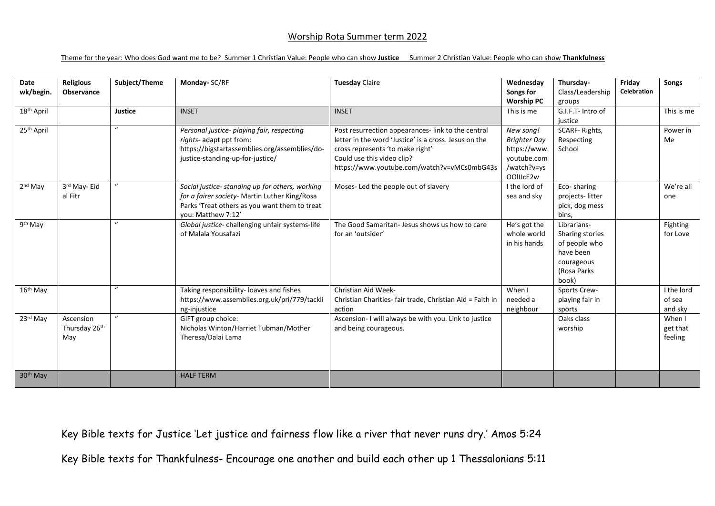## Worship Rota Summer term 2022

## Theme for the year: Who does God want me to be? Summer 1 Christian Value: People who can show **Justice** Summer 2 Christian Value: People who can show **Thankfulness**

| Date<br>wk/begin.      | <b>Religious</b><br>Observance    | Subject/Theme | Monday- SC/RF                                                                                                                                                           | <b>Tuesday Claire</b>                                                                                                                                                                                                        | Wednesday<br>Songs for<br><b>Worship PC</b>                                                 | Thursday-<br>Class/Leadership<br>groups                                                            | Friday<br><b>Celebration</b> | Songs                           |
|------------------------|-----------------------------------|---------------|-------------------------------------------------------------------------------------------------------------------------------------------------------------------------|------------------------------------------------------------------------------------------------------------------------------------------------------------------------------------------------------------------------------|---------------------------------------------------------------------------------------------|----------------------------------------------------------------------------------------------------|------------------------------|---------------------------------|
| 18 <sup>th</sup> April |                                   | Justice       | <b>INSET</b>                                                                                                                                                            | <b>INSET</b>                                                                                                                                                                                                                 | This is me                                                                                  | G.I.F.T- Intro of<br>justice                                                                       |                              | This is me                      |
| 25 <sup>th</sup> April |                                   | $\mathbf{u}$  | Personal justice- playing fair, respecting<br>rights- adapt ppt from:<br>https://bigstartassemblies.org/assemblies/do-<br>justice-standing-up-for-justice/              | Post resurrection appearances- link to the central<br>letter in the word 'Justice' is a cross. Jesus on the<br>cross represents 'to make right'<br>Could use this video clip?<br>https://www.youtube.com/watch?v=vMCs0mbG43s | New song!<br><b>Brighter Day</b><br>https://www.<br>youtube.com<br>/watch?v=ys<br>OOIIJcE2w | SCARF-Rights,<br>Respecting<br>School                                                              |                              | Power in<br>Me                  |
| 2 <sup>nd</sup> May    | 3rd May-Eid<br>al Fitr            | $\mathbf{u}$  | Social justice- standing up for others, working<br>for a fairer society- Martin Luther King/Rosa<br>Parks 'Treat others as you want them to treat<br>vou: Matthew 7:12' | Moses- Led the people out of slavery                                                                                                                                                                                         | I the lord of<br>sea and sky                                                                | Eco-sharing<br>projects-litter<br>pick, dog mess<br>bins,                                          |                              | We're all<br>one                |
| 9 <sup>th</sup> May    |                                   | $\mathbf{u}$  | Global justice- challenging unfair systems-life<br>of Malala Yousafazi                                                                                                  | The Good Samaritan- Jesus shows us how to care<br>for an 'outsider'                                                                                                                                                          | He's got the<br>whole world<br>in his hands                                                 | Librarians-<br>Sharing stories<br>of people who<br>have been<br>courageous<br>(Rosa Parks<br>book) |                              | Fighting<br>for Love            |
| 16 <sup>th</sup> May   |                                   | $\mathbf{u}$  | Taking responsibility- loaves and fishes<br>https://www.assemblies.org.uk/pri/779/tackli<br>ng-injustice                                                                | Christian Aid Week-<br>Christian Charities- fair trade, Christian Aid = Faith in<br>action                                                                                                                                   | When I<br>needed a<br>neighbour                                                             | Sports Crew-<br>playing fair in<br>sports                                                          |                              | I the lord<br>of sea<br>and sky |
| 23rd May               | Ascension<br>Thursday 26th<br>May | $\mathbf{u}$  | GIFT group choice:<br>Nicholas Winton/Harriet Tubman/Mother<br>Theresa/Dalai Lama                                                                                       | Ascension- I will always be with you. Link to justice<br>and being courageous.                                                                                                                                               |                                                                                             | Oaks class<br>worship                                                                              |                              | When I<br>get that<br>feeling   |
| 30 <sup>th</sup> May   |                                   |               | <b>HALF TERM</b>                                                                                                                                                        |                                                                                                                                                                                                                              |                                                                                             |                                                                                                    |                              |                                 |

Key Bible texts for Justice 'Let justice and fairness flow like a river that never runs dry.' Amos 5:24

Key Bible texts for Thankfulness- Encourage one another and build each other up 1 Thessalonians 5:11